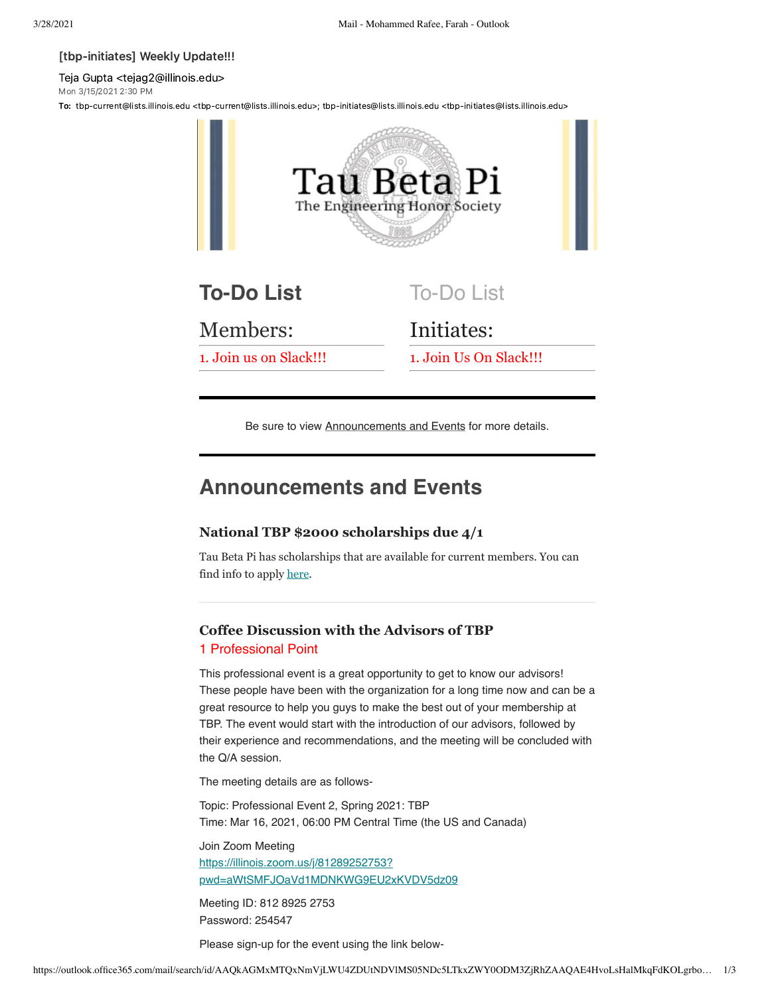#### [tbp-initiates] Weekly Update!!!

Teja Gupta <tejag2@illinois.edu> Mon 3/15/2021 2:30 PM

To: tbp-current@lists.illinois.edu <tbp-current@lists.illinois.edu>; tbp-initiates@lists.illinois.edu <tbp-initiates@lists.illinois.edu>



Be sure to view Announcements and Events for more details.

# **Announcements and Events**

## **National TBP \$2000 scholarships due 4/1**

Tau Beta Pi has scholarships that are available for current members. You can find info to apply [here.](https://urldefense.com/v3/__https://www.tbp.org/memb/ScholarshipInfoSheet.pdf__;!!DZ3fjg!v4rymW46E6Qm72H7FyVc3qZyZwjm2Nr8oxbTAx-oW5LDCuCGbwuz05c6LHnM58A7C7JQjAO5aMk$)

# **Coffee Discussion with the Advisors of TBP**

## 1 Professional Point

This professional event is a great opportunity to get to know our advisors! These people have been with the organization for a long time now and can be a great resource to help you guys to make the best out of your membership at TBP. The event would start with the introduction of our advisors, followed by their experience and recommendations, and the meeting will be concluded with the Q/A session.

The meeting details are as follows-

Topic: Professional Event 2, Spring 2021: TBP Time: Mar 16, 2021, 06:00 PM Central Time (the US and Canada)

Join Zoom Meeting https://illinois.zoom.us/j/81289252753? [pwd=aWtSMFJOaVd1MDNKWG9EU2xKVDV5dz09](https://illinois.zoom.us/j/81289252753?pwd=aWtSMFJOaVd1MDNKWG9EU2xKVDV5dz09)

Meeting ID: 812 8925 2753 Password: 254547

Please sign-up for the event using the link below-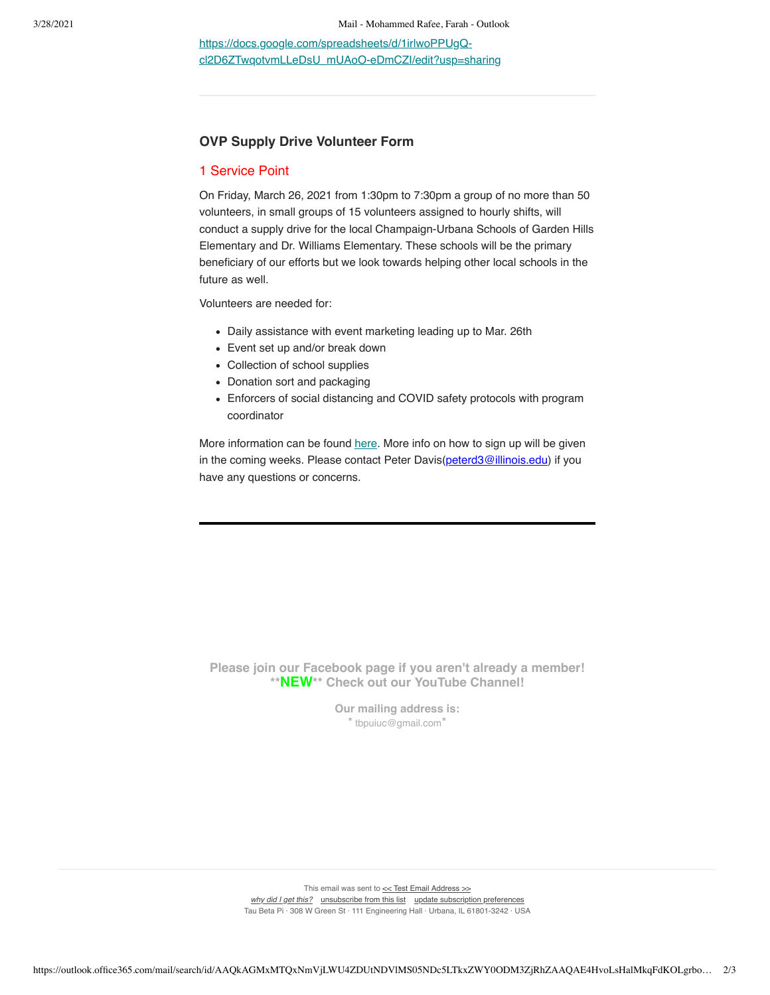https://docs.google.com/spreadsheets/d/1irlwoPPUgQ[cl2D6ZTwqotvmLLeDsU\\_mUAoO-eDmCZI/edit?usp=sharing](https://urldefense.com/v3/__https://docs.google.com/spreadsheets/d/1irlwoPPUgQ-cl2D6ZTwqotvmLLeDsU_mUAoO-eDmCZI/edit?usp=sharing__;!!DZ3fjg!v4rymW46E6Qm72H7FyVc3qZyZwjm2Nr8oxbTAx-oW5LDCuCGbwuz05c6LHnM58A7C7JQiExuAGs$)

## **OVP Supply Drive Volunteer Form**

## 1 Service Point

On Friday, March 26, 2021 from 1:30pm to 7:30pm a group of no more than 50 volunteers, in small groups of 15 volunteers assigned to hourly shifts, will conduct a supply drive for the local Champaign-Urbana Schools of Garden Hills Elementary and Dr. Williams Elementary. These schools will be the primary beneficiary of our efforts but we look towards helping other local schools in the future as well.

Volunteers are needed for:

- Daily assistance with event marketing leading up to Mar. 26th
- Event set up and/or break down
- Collection of school supplies
- Donation sort and packaging
- Enforcers of social distancing and COVID safety protocols with program coordinator

More information can be found [here](https://surveys.illinois.edu/sec/783507290?referrer=https://shibboleth.illinois.edu/). More info on how to sign up will be given in the coming weeks. Please contact Peter Davis[\(peterd3@illinois.edu](mailto:peterd3@illinois.edu)) if you have any questions or concerns.



**Please join our Facebook page if you aren't already a member! \*\*NEW\*\* Check out our YouTube Channel!**

> **Our mailing address is:** \*[tbpuiuc@gmail.com](mailto:tbpuiuc@gmail.com)\*

This email was sent to  $\leq$  Test Email Address  $\geq$ *[why did I get this?](https://urldefense.com/v3/__https://illinois.us4.list-manage.com/about?u=009b510467be6b8a537075f81&id=2b9770cc77&e=*UNIQID*&c=d30c23fc61__;W10!!DZ3fjg!v4rymW46E6Qm72H7FyVc3qZyZwjm2Nr8oxbTAx-oW5LDCuCGbwuz05c6LHnM58A7C7JQZpQJkjc$)* [unsubscribe from this list](https://urldefense.com/v3/__https://illinois.us4.list-manage.com/unsubscribe?u=009b510467be6b8a537075f81&id=2b9770cc77&e=*UNIQID*&c=d30c23fc61__;W10!!DZ3fjg!v4rymW46E6Qm72H7FyVc3qZyZwjm2Nr8oxbTAx-oW5LDCuCGbwuz05c6LHnM58A7C7JQ3-VN6QQ$) update subscription preferences Tau Beta Pi · 308 W Green St · 111 Engineering Hall · Urbana, IL 61801-3242 · USA